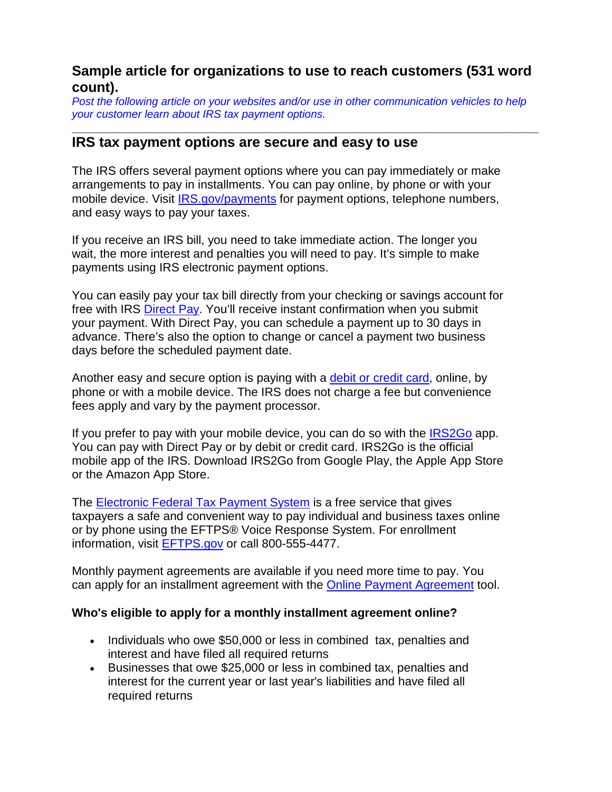# **Sample article for organizations to use to reach customers (531 word count).**

*Post the following article on your websites and/or use in other communication vehicles to help your customer learn about IRS tax payment options.*

**\_\_\_\_\_\_\_\_\_\_\_\_\_\_\_\_\_\_\_\_\_\_\_\_\_\_\_\_\_\_\_\_\_\_\_\_\_\_\_\_\_\_\_\_\_\_\_\_\_\_\_\_\_\_\_\_\_\_\_\_\_\_\_\_\_\_\_\_\_\_**

## **IRS tax payment options are secure and easy to use**

The IRS offers several payment options where you can pay immediately or make arrangements to pay in installments. You can pay online, by phone or with your mobile device. Visit [IRS.gov/payments](https://www.irs.gov/payments) for payment options, telephone numbers, and easy ways to pay your taxes.

If you receive an IRS bill, you need to take immediate action. The longer you wait, the more interest and penalties you will need to pay. It's simple to make payments using IRS electronic payment options.

You can easily pay your tax bill directly from your checking or savings account for free with IRS [Direct Pay.](https://www.irs.gov/Payments/Direct-Pay) You'll receive instant confirmation when you submit your payment. With Direct Pay, you can schedule a payment up to 30 days in advance. There's also the option to change or cancel a payment two business days before the scheduled payment date.

Another easy and secure option is paying with a [debit or credit card,](https://www.irs.gov/uac/Pay-Taxes-by-Credit-or-Debit-Card) online, by phone or with a mobile device. The IRS does not charge a fee but convenience fees apply and vary by the payment processor.

If you prefer to pay with your mobile device, you can do so with the [IRS2Go](https://www.irs.gov/uac/IRS2GoApp) app. You can pay with Direct Pay or by debit or credit card. IRS2Go is the official mobile app of the IRS. Download IRS2Go from Google Play, the Apple App Store or the Amazon App Store.

The [Electronic Federal Tax Payment System](https://www.irs.gov/uac/eftps-the-electronic-federal-tax-payment-system) is a free service that gives taxpayers a safe and convenient way to pay individual and business taxes online or by phone using the EFTPS® Voice Response System. For enrollment information, visit [EFTPS.gov](http://www.irs.gov/uac/EFTPS-The-Electronic-Federal-Tax-Payment-System) or call 800-555-4477.

Monthly payment agreements are available if you need more time to pay. You can apply for an installment agreement with the [Online Payment Agreement](https://www.irs.gov/Individuals/Online-Payment-Agreement-Application) tool.

#### **Who's eligible to apply for a monthly installment agreement online?**

- Individuals who owe \$50,000 or less in combined tax, penalties and interest and have filed all required returns
- Businesses that owe \$25,000 or less in combined tax, penalties and interest for the current year or last year's liabilities and have filed all required returns